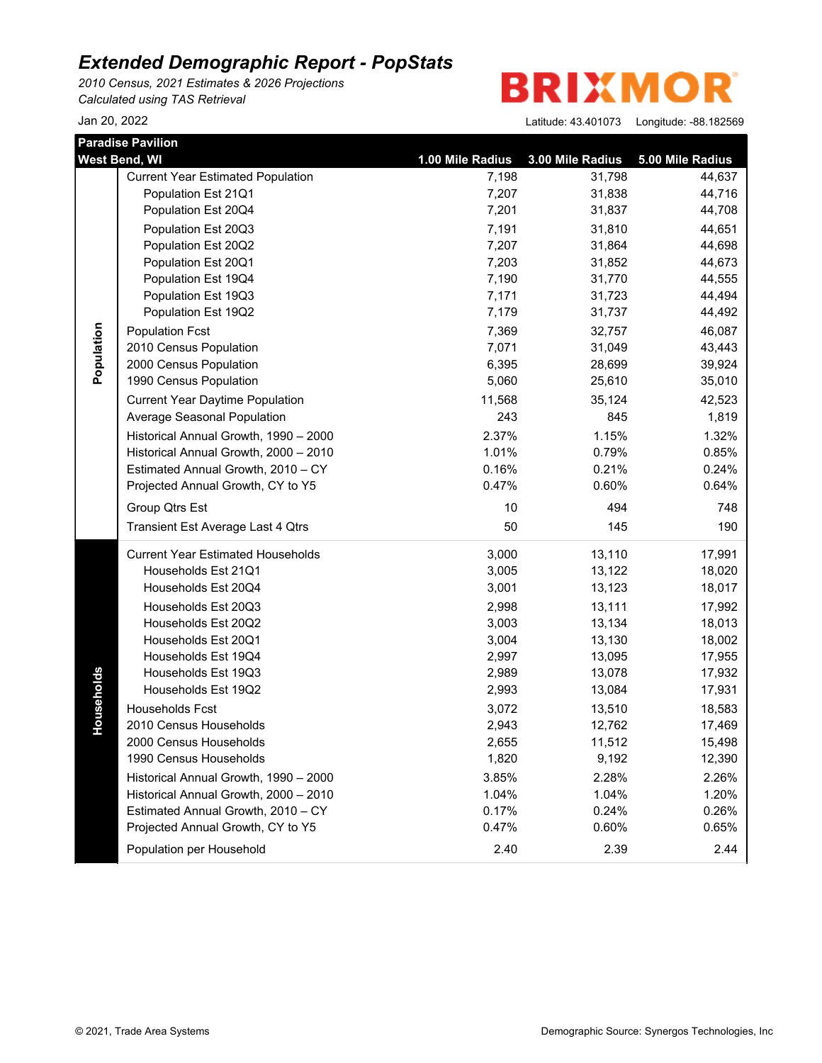*2010 Census, 2021 Estimates & 2026 Projections Calculated using TAS Retrieval*

**BRIXMOR** 

|            | <b>Paradise Pavilion</b><br>West Bend, WI | 1.00 Mile Radius | 3.00 Mile Radius | 5.00 Mile Radius |
|------------|-------------------------------------------|------------------|------------------|------------------|
|            | <b>Current Year Estimated Population</b>  | 7,198            | 31,798           | 44,637           |
|            | Population Est 21Q1                       | 7,207            | 31,838           | 44,716           |
|            | Population Est 20Q4                       | 7,201            | 31,837           | 44,708           |
|            | Population Est 20Q3                       | 7,191            | 31,810           | 44,651           |
|            | Population Est 20Q2                       | 7,207            | 31,864           | 44,698           |
|            | Population Est 20Q1                       | 7,203            | 31,852           | 44,673           |
|            | Population Est 19Q4                       | 7,190            | 31,770           | 44,555           |
|            | Population Est 19Q3                       | 7,171            | 31,723           | 44,494           |
|            | Population Est 19Q2                       | 7,179            | 31,737           | 44,492           |
|            | <b>Population Fcst</b>                    | 7,369            | 32,757           | 46,087           |
| Population | 2010 Census Population                    | 7,071            | 31,049           | 43,443           |
|            | 2000 Census Population                    | 6,395            | 28,699           | 39,924           |
|            | 1990 Census Population                    | 5,060            | 25,610           | 35,010           |
|            | <b>Current Year Daytime Population</b>    | 11,568           | 35,124           | 42,523           |
|            | Average Seasonal Population               | 243              | 845              | 1,819            |
|            | Historical Annual Growth, 1990 - 2000     | 2.37%            | 1.15%            | 1.32%            |
|            | Historical Annual Growth, 2000 - 2010     | 1.01%            | 0.79%            | 0.85%            |
|            | Estimated Annual Growth, 2010 - CY        | 0.16%            | 0.21%            | 0.24%            |
|            | Projected Annual Growth, CY to Y5         | 0.47%            | 0.60%            | 0.64%            |
|            | Group Qtrs Est                            | 10               | 494              | 748              |
|            | <b>Transient Est Average Last 4 Qtrs</b>  | 50               | 145              | 190              |
|            | <b>Current Year Estimated Households</b>  | 3,000            | 13,110           | 17,991           |
|            | Households Est 21Q1                       | 3,005            | 13,122           | 18,020           |
|            | Households Est 20Q4                       | 3,001            | 13,123           | 18,017           |
|            | Households Est 20Q3                       | 2,998            | 13,111           | 17,992           |
|            | Households Est 20Q2                       | 3,003            | 13,134           | 18,013           |
|            | Households Est 20Q1                       | 3,004            | 13,130           | 18,002           |
|            | Households Est 19Q4                       | 2,997            | 13,095           | 17,955           |
|            | Households Est 19Q3                       | 2,989            | 13,078           | 17,932           |
| Households | Households Est 19Q2                       | 2,993            | 13,084           | 17,931           |
|            | Households Fcst                           | 3,072            | 13,510           | 18,583           |
|            | 2010 Census Households                    | 2,943            | 12,762           | 17,469           |
|            | 2000 Census Households                    | 2,655            | 11,512           | 15,498           |
|            | 1990 Census Households                    | 1,820            | 9,192            | 12,390           |
|            | Historical Annual Growth, 1990 - 2000     | 3.85%            | 2.28%            | 2.26%            |
|            | Historical Annual Growth, 2000 - 2010     | 1.04%            | 1.04%            | 1.20%            |
|            | Estimated Annual Growth, 2010 - CY        | 0.17%            | 0.24%            | 0.26%            |
|            | Projected Annual Growth, CY to Y5         | 0.47%            | 0.60%            | 0.65%            |
|            | Population per Household                  | 2.40             | 2.39             | 2.44             |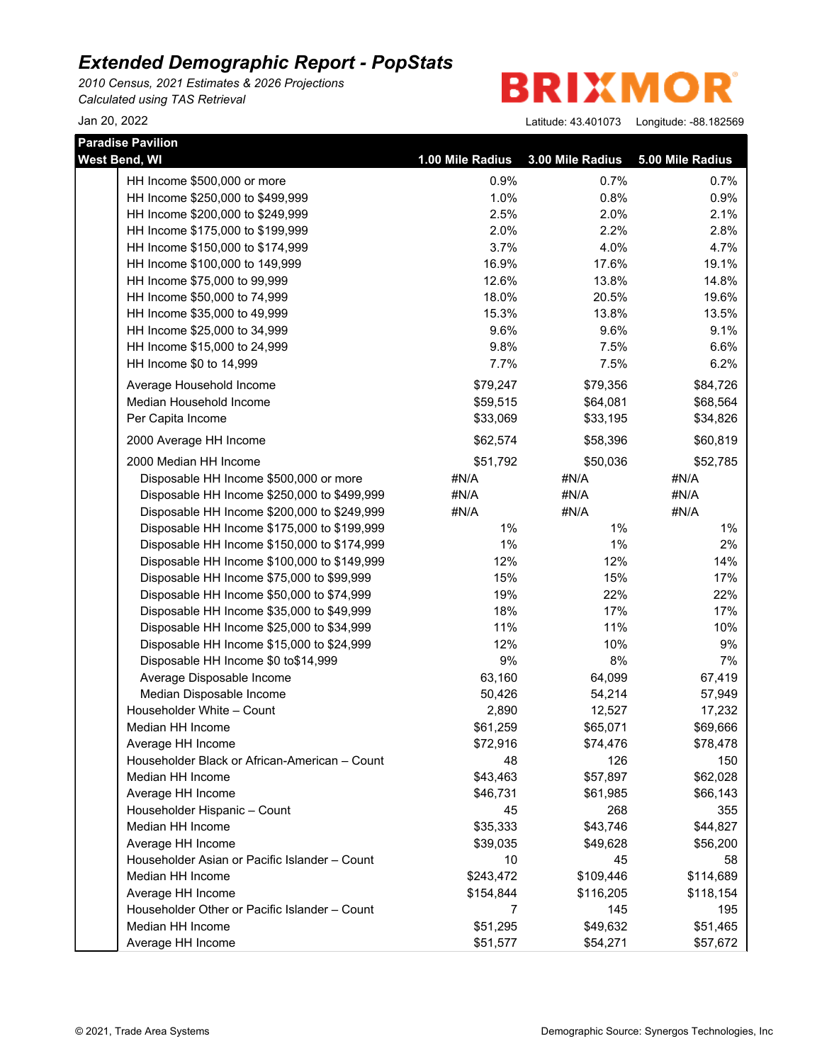*2010 Census, 2021 Estimates & 2026 Projections Calculated using TAS Retrieval*

**BRIXMOR** 

| <b>Paradise Pavilion</b>                      |                  |                  |                  |
|-----------------------------------------------|------------------|------------------|------------------|
| West Bend, WI                                 | 1.00 Mile Radius | 3.00 Mile Radius | 5.00 Mile Radius |
| HH Income \$500,000 or more                   | 0.9%             | 0.7%             | 0.7%             |
| HH Income \$250,000 to \$499,999              | 1.0%             | 0.8%             | 0.9%             |
| HH Income \$200,000 to \$249,999              | 2.5%             | 2.0%             | 2.1%             |
| HH Income \$175,000 to \$199,999              | 2.0%             | 2.2%             | 2.8%             |
| HH Income \$150,000 to \$174,999              | 3.7%             | 4.0%             | 4.7%             |
| HH Income \$100,000 to 149,999                | 16.9%            | 17.6%            | 19.1%            |
| HH Income \$75,000 to 99,999                  | 12.6%            | 13.8%            | 14.8%            |
| HH Income \$50,000 to 74,999                  | 18.0%            | 20.5%            | 19.6%            |
| HH Income \$35,000 to 49,999                  | 15.3%            | 13.8%            | 13.5%            |
| HH Income \$25,000 to 34,999                  | 9.6%             | 9.6%             | 9.1%             |
| HH Income \$15,000 to 24,999                  | 9.8%             | 7.5%             | 6.6%             |
| HH Income \$0 to 14,999                       | 7.7%             | 7.5%             | 6.2%             |
| Average Household Income                      | \$79,247         | \$79,356         | \$84,726         |
| Median Household Income                       | \$59,515         | \$64,081         | \$68,564         |
| Per Capita Income                             | \$33,069         | \$33,195         | \$34,826         |
| 2000 Average HH Income                        | \$62,574         | \$58,396         | \$60,819         |
| 2000 Median HH Income                         | \$51,792         | \$50,036         | \$52,785         |
| Disposable HH Income \$500,000 or more        | #N/A             | #N/A             | #N/A             |
| Disposable HH Income \$250,000 to \$499,999   | #N/A             | #N/A             | #N/A             |
| Disposable HH Income \$200,000 to \$249,999   | #N/A             | #N/A             | #N/A             |
| Disposable HH Income \$175,000 to \$199,999   | $1\%$            | 1%               | $1\%$            |
| Disposable HH Income \$150,000 to \$174,999   | 1%               | $1\%$            | 2%               |
| Disposable HH Income \$100,000 to \$149,999   | 12%              | 12%              | 14%              |
| Disposable HH Income \$75,000 to \$99,999     | 15%              | 15%              | 17%              |
| Disposable HH Income \$50,000 to \$74,999     | 19%              | 22%              | 22%              |
| Disposable HH Income \$35,000 to \$49,999     | 18%              | 17%              | 17%              |
| Disposable HH Income \$25,000 to \$34,999     | 11%              | 11%              | 10%              |
| Disposable HH Income \$15,000 to \$24,999     | 12%              | 10%              | 9%               |
| Disposable HH Income \$0 to\$14,999           | $9\%$            | 8%               | 7%               |
| Average Disposable Income                     | 63,160           | 64,099           | 67,419           |
| Median Disposable Income                      | 50,426           | 54,214           | 57,949           |
| Householder White - Count                     | 2,890            | 12,527           | 17,232           |
| Median HH Income                              | \$61,259         | \$65,071         | \$69,666         |
| Average HH Income                             | \$72,916         | \$74,476         | \$78,478         |
| Householder Black or African-American - Count | 48               | 126              | 150              |
| Median HH Income                              | \$43,463         | \$57,897         | \$62,028         |
| Average HH Income                             | \$46,731         | \$61,985         | \$66,143         |
| Householder Hispanic - Count                  | 45               | 268              | 355              |
| Median HH Income                              | \$35,333         | \$43,746         | \$44,827         |
| Average HH Income                             | \$39,035         | \$49,628         | \$56,200         |
| Householder Asian or Pacific Islander - Count | 10               | 45               | 58               |
| Median HH Income                              | \$243,472        | \$109,446        | \$114,689        |
| Average HH Income                             | \$154,844        | \$116,205        | \$118,154        |
| Householder Other or Pacific Islander - Count | 7                | 145              | 195              |
| Median HH Income                              | \$51,295         | \$49,632         | \$51,465         |
| Average HH Income                             | \$51,577         | \$54,271         | \$57,672         |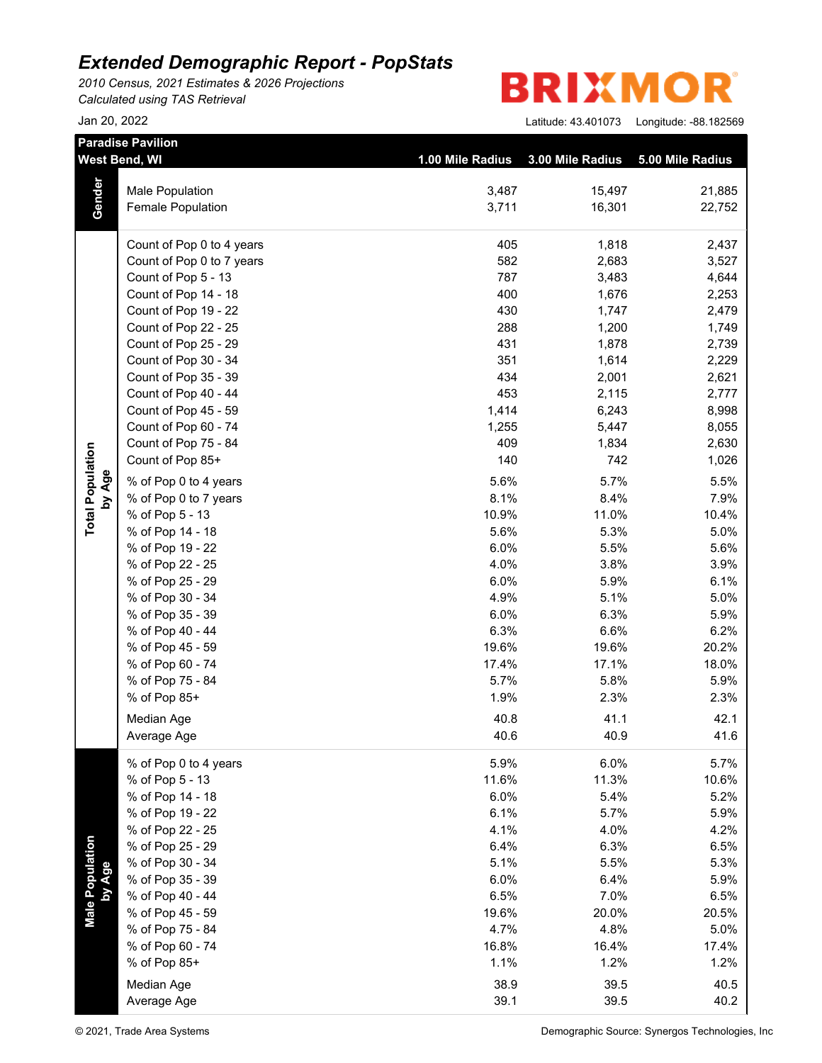*2010 Census, 2021 Estimates & 2026 Projections Calculated using TAS Retrieval*

# **BRIXMOR**

|                           | <b>Paradise Pavilion</b>             |                  |                  |                  |
|---------------------------|--------------------------------------|------------------|------------------|------------------|
|                           | West Bend, WI                        | 1.00 Mile Radius | 3.00 Mile Radius | 5.00 Mile Radius |
|                           |                                      |                  |                  |                  |
| Gender                    | Male Population<br>Female Population | 3,487<br>3,711   | 15,497<br>16,301 | 21,885<br>22,752 |
|                           |                                      |                  |                  |                  |
|                           | Count of Pop 0 to 4 years            | 405              | 1,818            | 2,437            |
|                           | Count of Pop 0 to 7 years            | 582              | 2,683            | 3,527            |
|                           | Count of Pop 5 - 13                  | 787              | 3,483            | 4,644            |
|                           | Count of Pop 14 - 18                 | 400              | 1,676            | 2,253            |
|                           | Count of Pop 19 - 22                 | 430              | 1,747            | 2,479            |
|                           | Count of Pop 22 - 25                 | 288              | 1,200            | 1,749            |
|                           | Count of Pop 25 - 29                 | 431              | 1,878            | 2,739            |
|                           | Count of Pop 30 - 34                 | 351              | 1,614            | 2,229            |
|                           | Count of Pop 35 - 39                 | 434              | 2,001            | 2,621            |
|                           | Count of Pop 40 - 44                 | 453              | 2,115            | 2,777            |
|                           | Count of Pop 45 - 59                 | 1,414            | 6,243            | 8,998            |
|                           | Count of Pop 60 - 74                 | 1,255            | 5,447            | 8,055            |
|                           | Count of Pop 75 - 84                 | 409              | 1,834            | 2,630            |
|                           | Count of Pop 85+                     | 140              | 742              | 1,026            |
| by Age                    | % of Pop 0 to 4 years                | 5.6%             | 5.7%             | 5.5%             |
| <b>Total Population</b>   | % of Pop 0 to 7 years                | 8.1%             | 8.4%             | 7.9%             |
|                           | % of Pop 5 - 13                      | 10.9%            | 11.0%            | 10.4%            |
|                           | % of Pop 14 - 18                     | 5.6%             | 5.3%             | 5.0%             |
|                           | % of Pop 19 - 22                     | 6.0%             | 5.5%             | 5.6%             |
|                           | % of Pop 22 - 25                     | 4.0%             | 3.8%             | 3.9%             |
|                           | % of Pop 25 - 29                     | 6.0%             | 5.9%             | 6.1%             |
|                           | % of Pop 30 - 34                     | 4.9%             | 5.1%             | 5.0%             |
|                           | % of Pop 35 - 39                     | 6.0%             | 6.3%             | 5.9%             |
|                           | % of Pop 40 - 44                     | 6.3%             | 6.6%             | 6.2%             |
|                           | % of Pop 45 - 59                     | 19.6%            | 19.6%            | 20.2%            |
|                           | % of Pop 60 - 74                     | 17.4%            | 17.1%            | 18.0%            |
|                           | % of Pop 75 - 84                     | 5.7%             | 5.8%             | 5.9%             |
|                           | % of Pop 85+                         | 1.9%             | 2.3%             | 2.3%             |
|                           | Median Age                           | 40.8             | 41.1             | 42.1             |
|                           | Average Age                          | 40.6             | 40.9             | 41.6             |
|                           | % of Pop 0 to 4 years                | 5.9%             | 6.0%             | 5.7%             |
|                           | % of Pop 5 - 13                      | 11.6%            | 11.3%            | 10.6%            |
|                           | % of Pop 14 - 18                     | 6.0%             | 5.4%             | 5.2%             |
|                           | % of Pop 19 - 22                     | 6.1%             | 5.7%             | 5.9%             |
|                           | % of Pop 22 - 25                     | 4.1%             | 4.0%             | 4.2%             |
| Male Population<br>by Age | % of Pop 25 - 29                     | 6.4%             | 6.3%             | 6.5%             |
|                           | % of Pop 30 - 34                     | 5.1%             | 5.5%             | 5.3%             |
|                           | % of Pop 35 - 39                     | 6.0%             | 6.4%             | 5.9%             |
|                           | % of Pop 40 - 44                     | 6.5%             | 7.0%             | 6.5%             |
|                           | % of Pop 45 - 59                     | 19.6%            | 20.0%            | 20.5%            |
|                           | % of Pop 75 - 84                     | 4.7%             | 4.8%             | 5.0%             |
|                           | % of Pop 60 - 74                     | 16.8%            | 16.4%            | 17.4%            |
|                           | % of Pop 85+                         | 1.1%             | 1.2%             | 1.2%             |
|                           | Median Age                           | 38.9             | 39.5             | 40.5             |
|                           |                                      | 39.1             | 39.5             | 40.2             |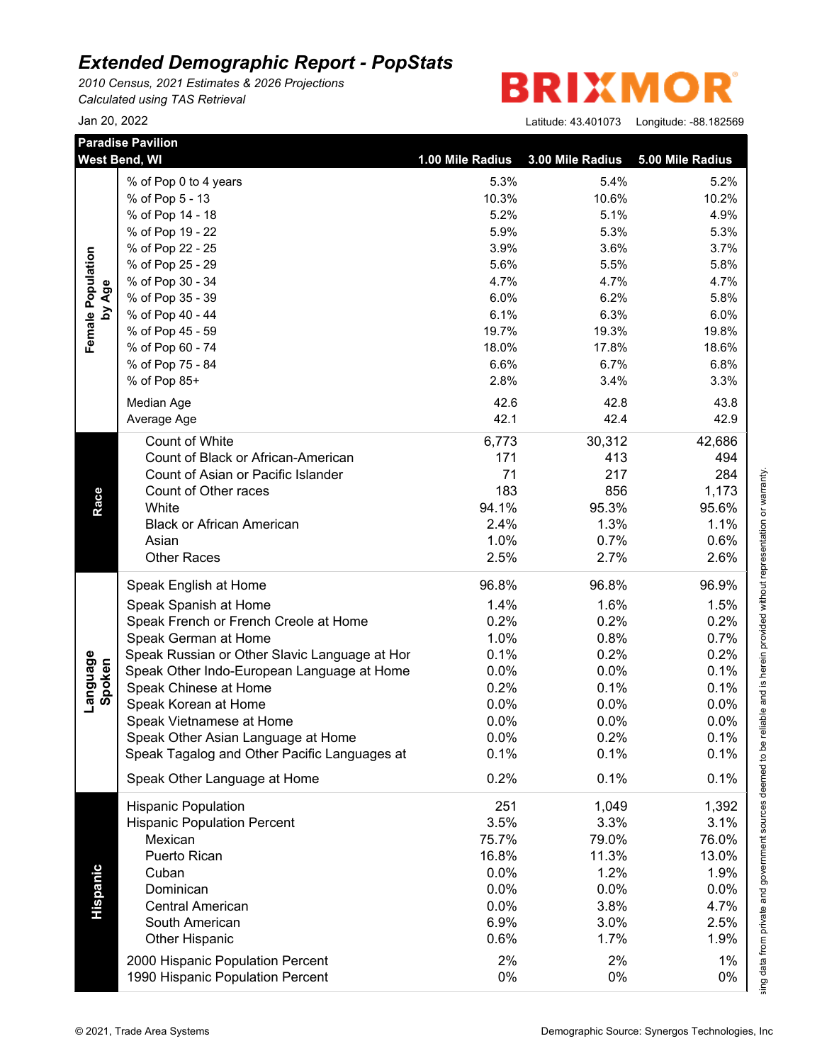*2010 Census, 2021 Estimates & 2026 Projections Calculated using TAS Retrieval*

R **BRIXMO** 

|                    | <b>Paradise Pavilion</b><br><b>West Bend, WI</b> | 1.00 Mile Radius | 3.00 Mile Radius | 5.00 Mile Radius |
|--------------------|--------------------------------------------------|------------------|------------------|------------------|
|                    | % of Pop 0 to 4 years                            | 5.3%             | 5.4%             | 5.2%             |
|                    | % of Pop 5 - 13                                  | 10.3%            | 10.6%            | 10.2%            |
|                    | % of Pop 14 - 18                                 | 5.2%             | 5.1%             | 4.9%             |
|                    | % of Pop 19 - 22                                 | 5.9%             | 5.3%             | 5.3%             |
|                    | % of Pop 22 - 25                                 | 3.9%             | 3.6%             | 3.7%             |
|                    | % of Pop 25 - 29                                 | 5.6%             | 5.5%             | 5.8%             |
|                    | % of Pop 30 - 34                                 | 4.7%             | 4.7%             | 4.7%             |
| by Age             | % of Pop 35 - 39                                 | 6.0%             | 6.2%             | 5.8%             |
|                    | % of Pop 40 - 44                                 | 6.1%             | 6.3%             | 6.0%             |
|                    | % of Pop 45 - 59                                 | 19.7%            | 19.3%            | 19.8%            |
|                    | % of Pop 60 - 74                                 | 18.0%            | 17.8%            | 18.6%            |
|                    | % of Pop 75 - 84                                 | 6.6%             | 6.7%             | 6.8%             |
|                    | % of Pop 85+                                     | 2.8%             | 3.4%             | 3.3%             |
|                    | Median Age                                       | 42.6             | 42.8             | 43.8             |
|                    | Average Age                                      | 42.1             | 42.4             | 42.9             |
|                    |                                                  |                  |                  |                  |
|                    | Count of White                                   | 6,773            | 30,312           | 42,686           |
|                    | Count of Black or African-American               | 171              | 413              | 494              |
|                    | Count of Asian or Pacific Islander               | 71               | 217              | 284              |
|                    | Count of Other races                             | 183              | 856              | 1,173            |
|                    | White                                            | 94.1%            | 95.3%            | 95.6%            |
|                    | <b>Black or African American</b>                 | 2.4%             | 1.3%             | 1.1%             |
|                    | Asian                                            | 1.0%             | 0.7%             | 0.6%             |
|                    | <b>Other Races</b>                               | 2.5%             | 2.7%             | 2.6%             |
|                    | Speak English at Home                            | 96.8%            | 96.8%            | 96.9%            |
|                    | Speak Spanish at Home                            | 1.4%             | 1.6%             | 1.5%             |
|                    | Speak French or French Creole at Home            | 0.2%             | 0.2%             | 0.2%             |
|                    | Speak German at Home                             | 1.0%             | 0.8%             | 0.7%             |
|                    | Speak Russian or Other Slavic Language at Hor    | 0.1%             | 0.2%             | 0.2%             |
|                    | Speak Other Indo-European Language at Home       | 0.0%             | 0.0%             | 0.1%             |
|                    | Speak Chinese at Home                            | 0.2%             | 0.1%             | 0.1%             |
| Language<br>Spoken | Speak Korean at Home                             | 0.0%             | 0.0%             | 0.0%             |
|                    | Speak Vietnamese at Home                         | 0.0%             | 0.0%             | 0.0%             |
|                    | Speak Other Asian Language at Home               | $0.0\%$          | 0.2%             | 0.1%             |
|                    | Speak Tagalog and Other Pacific Languages at     | 0.1%             | 0.1%             | 0.1%             |
|                    | Speak Other Language at Home                     | 0.2%             | 0.1%             | 0.1%             |
|                    | <b>Hispanic Population</b>                       | 251              | 1,049            |                  |
|                    | <b>Hispanic Population Percent</b>               | 3.5%             |                  | 1,392<br>3.1%    |
|                    | Mexican                                          | 75.7%            | 3.3%             | 76.0%            |
|                    |                                                  |                  | 79.0%            |                  |
|                    | Puerto Rican                                     | 16.8%            | 11.3%            | 13.0%            |
|                    | Cuban                                            | 0.0%             | 1.2%             | 1.9%             |
|                    | Dominican                                        | 0.0%             | 0.0%             | 0.0%             |
|                    | <b>Central American</b>                          | 0.0%             | 3.8%             | 4.7%             |
|                    | South American                                   | 6.9%             | 3.0%             | 2.5%             |
|                    | <b>Other Hispanic</b>                            | 0.6%             | 1.7%             | 1.9%             |
|                    | 2000 Hispanic Population Percent                 | 2%               | 2%               | 1%               |
|                    | 1990 Hispanic Population Percent                 | 0%               | 0%               | 0%               |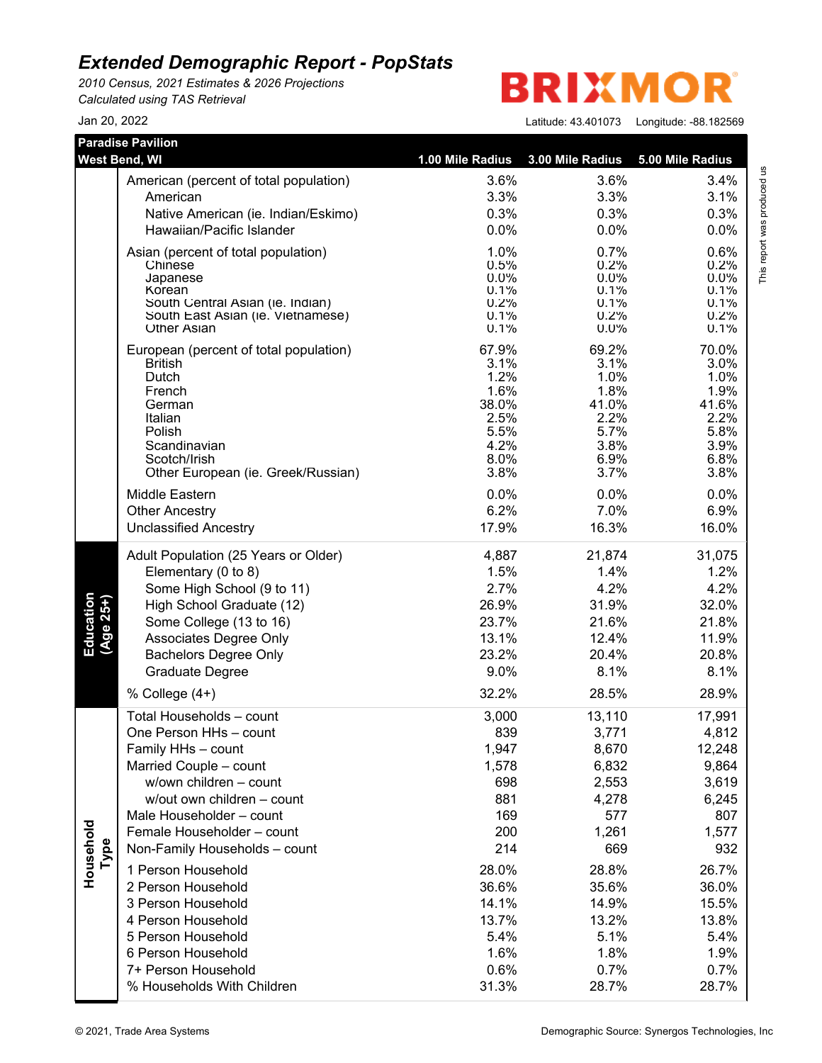*2010 Census, 2021 Estimates & 2026 Projections Calculated using TAS Retrieval*

**BRIXMO** R

|                        | <b>Paradise Pavilion</b><br>West Bend, WI                | 1.00 Mile Radius | 3.00 Mile Radius | 5.00 Mile Radius |
|------------------------|----------------------------------------------------------|------------------|------------------|------------------|
|                        |                                                          |                  |                  |                  |
|                        | American (percent of total population)                   | 3.6%             | 3.6%             | 3.4%             |
|                        | American                                                 | 3.3%             | 3.3%             | 3.1%             |
|                        | Native American (ie. Indian/Eskimo)                      | 0.3%             | 0.3%             | 0.3%             |
|                        | Hawaiian/Pacific Islander                                | 0.0%             | 0.0%             | 0.0%             |
|                        | Asian (percent of total population)                      | 1.0%             | 0.7%             | 0.6%             |
|                        | Chinese<br>Japanese                                      | 0.5%<br>$0.0\%$  | 0.2%<br>$0.0\%$  | 0.2%<br>$0.0\%$  |
|                        | Korean                                                   | 0.1%             | 0.1%             | 0.1%             |
|                        | South Central Asian (ie. Indian)                         | 0.2%             | 0.1%             | 0.1%             |
|                        | South East Asian (ie. Vietnamese)<br><b>Other Asian</b>  | 0.1%<br>0.1%     | 0.2%<br>0.0%     | 0.2%<br>0.1%     |
|                        |                                                          |                  |                  |                  |
|                        | European (percent of total population)<br><b>British</b> | 67.9%<br>3.1%    | 69.2%<br>3.1%    | 70.0%<br>3.0%    |
|                        | Dutch                                                    | 1.2%             | 1.0%             | 1.0%             |
|                        | French                                                   | 1.6%             | 1.8%             | 1.9%             |
|                        | German                                                   | 38.0%            | 41.0%            | 41.6%            |
|                        | Italian                                                  | 2.5%             | 2.2%             | 2.2%             |
|                        | Polish<br>Scandinavian                                   | 5.5%<br>4.2%     | 5.7%<br>3.8%     | 5.8%<br>3.9%     |
|                        | Scotch/Irish                                             | 8.0%             | 6.9%             | 6.8%             |
|                        | Other European (ie. Greek/Russian)                       | 3.8%             | 3.7%             | 3.8%             |
|                        | Middle Eastern                                           | 0.0%             | 0.0%             | 0.0%             |
|                        | <b>Other Ancestry</b>                                    | 6.2%             | 7.0%             | 6.9%             |
|                        | <b>Unclassified Ancestry</b>                             | 17.9%            | 16.3%            | 16.0%            |
|                        | Adult Population (25 Years or Older)                     | 4,887            | 21,874           | 31,075           |
|                        | Elementary (0 to 8)                                      | 1.5%             | 1.4%             | 1.2%             |
|                        | Some High School (9 to 11)                               | 2.7%             | 4.2%             | 4.2%             |
|                        | High School Graduate (12)                                | 26.9%            | 31.9%            | 32.0%            |
| Education<br>(Age 25+) | Some College (13 to 16)                                  | 23.7%            | 21.6%            | 21.8%            |
|                        | Associates Degree Only                                   | 13.1%            | 12.4%            | 11.9%            |
|                        | <b>Bachelors Degree Only</b>                             | 23.2%            | 20.4%            | 20.8%            |
|                        | <b>Graduate Degree</b>                                   | 9.0%             | 8.1%             | 8.1%             |
|                        | % College $(4+)$                                         | 32.2%            | 28.5%            | 28.9%            |
|                        | Total Households - count                                 | 3,000            | 13,110           | 17,991           |
|                        | One Person HHs - count                                   | 839              | 3,771            | 4,812            |
|                        | Family HHs - count                                       | 1,947            | 8,670            | 12,248           |
|                        | Married Couple - count                                   | 1,578            | 6,832            | 9,864            |
|                        | w/own children - count                                   | 698              | 2,553            | 3,619            |
|                        | w/out own children - count                               | 881              | 4,278            | 6,245            |
|                        | Male Householder - count                                 | 169              | 577              | 807              |
|                        | Female Householder - count                               | 200              | 1,261            | 1,577            |
| Type                   | Non-Family Households - count                            | 214              | 669              | 932              |
| Household              | 1 Person Household                                       | 28.0%            | 28.8%            | 26.7%            |
|                        | 2 Person Household                                       | 36.6%            | 35.6%            | 36.0%            |
|                        | 3 Person Household                                       | 14.1%            | 14.9%            | 15.5%            |
|                        | 4 Person Household                                       | 13.7%            | 13.2%            | 13.8%            |
|                        | 5 Person Household                                       | 5.4%             | 5.1%             | 5.4%             |
|                        | 6 Person Household                                       | 1.6%             | 1.8%             | 1.9%             |
|                        | 7+ Person Household                                      | 0.6%             | 0.7%             | 0.7%             |
|                        | % Households With Children                               | 31.3%            | 28.7%            | 28.7%            |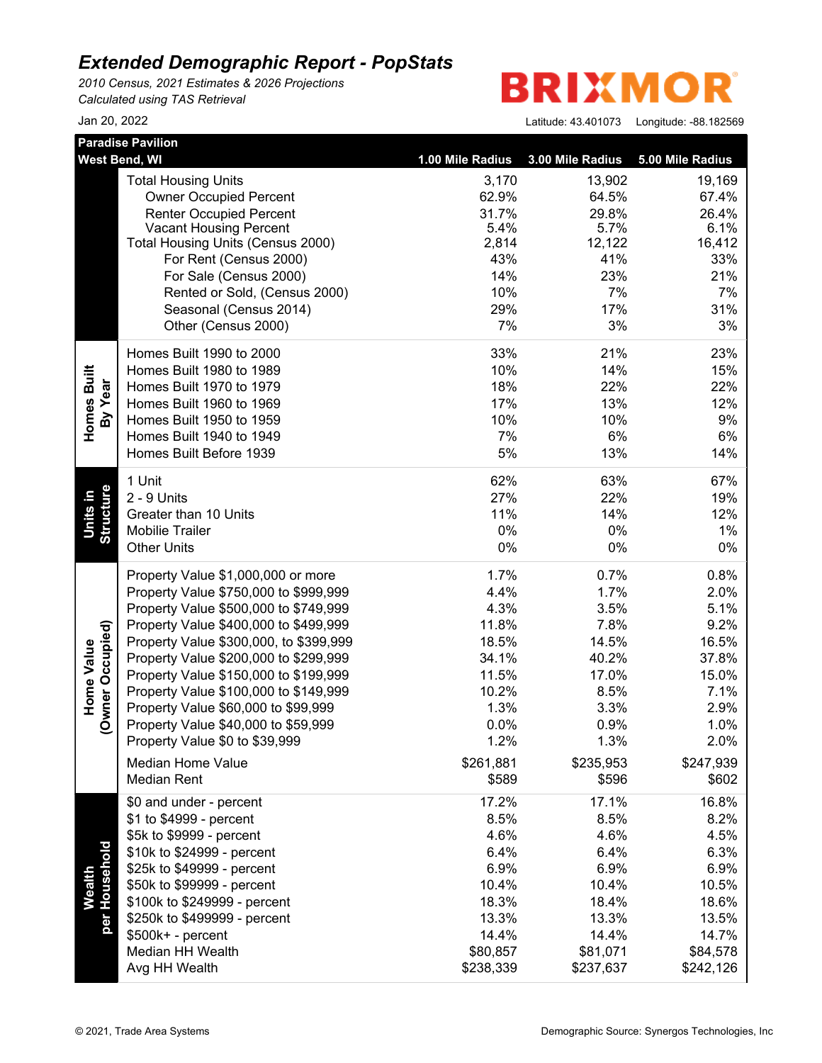*2010 Census, 2021 Estimates & 2026 Projections Calculated using TAS Retrieval*

**BRIXMOR** 

|                                       | <b>Paradise Pavilion</b>                         |                  |                  |                  |  |
|---------------------------------------|--------------------------------------------------|------------------|------------------|------------------|--|
| West Bend, WI                         |                                                  | 1.00 Mile Radius | 3.00 Mile Radius | 5.00 Mile Radius |  |
|                                       | <b>Total Housing Units</b>                       | 3,170            | 13,902           | 19,169           |  |
|                                       | <b>Owner Occupied Percent</b>                    | 62.9%            | 64.5%            | 67.4%            |  |
|                                       | <b>Renter Occupied Percent</b>                   | 31.7%            | 29.8%            | 26.4%            |  |
|                                       | <b>Vacant Housing Percent</b>                    | 5.4%             | 5.7%             | 6.1%             |  |
|                                       | Total Housing Units (Census 2000)                | 2,814<br>43%     | 12,122<br>41%    | 16,412           |  |
|                                       | For Rent (Census 2000)<br>For Sale (Census 2000) | 14%              | 23%              | 33%<br>21%       |  |
|                                       | Rented or Sold, (Census 2000)                    | 10%              | 7%               | 7%               |  |
|                                       | Seasonal (Census 2014)                           | 29%              | 17%              | 31%              |  |
|                                       | Other (Census 2000)                              | 7%               | 3%               | 3%               |  |
|                                       |                                                  |                  |                  |                  |  |
|                                       | Homes Built 1990 to 2000                         | 33%              | 21%              | 23%              |  |
| Homes Built                           | Homes Built 1980 to 1989                         | 10%              | 14%              | 15%              |  |
|                                       | Homes Built 1970 to 1979                         | 18%              | 22%              | 22%              |  |
| By Year                               | Homes Built 1960 to 1969                         | 17%              | 13%              | 12%              |  |
|                                       | Homes Built 1950 to 1959                         | 10%              | 10%              | 9%               |  |
|                                       | Homes Built 1940 to 1949                         | 7%               | 6%               | 6%               |  |
|                                       | Homes Built Before 1939                          | 5%               | 13%              | 14%              |  |
|                                       | 1 Unit                                           | 62%              | 63%              | 67%              |  |
| <u>Units</u> in                       | 2 - 9 Units                                      | 27%              | 22%              | 19%              |  |
|                                       | Greater than 10 Units                            | 11%              | 14%              | 12%              |  |
| Structure                             | Mobilie Trailer                                  | 0%               | 0%               | 1%               |  |
|                                       | <b>Other Units</b>                               | $0\%$            | $0\%$            | 0%               |  |
|                                       | Property Value \$1,000,000 or more               | 1.7%             | 0.7%             | 0.8%             |  |
|                                       | Property Value \$750,000 to \$999,999            | 4.4%             | 1.7%             | 2.0%             |  |
|                                       | Property Value \$500,000 to \$749,999            | 4.3%             | 3.5%             | 5.1%             |  |
|                                       | Property Value \$400,000 to \$499,999            | 11.8%            | 7.8%             | 9.2%             |  |
|                                       | Property Value \$300,000, to \$399,999           | 18.5%            | 14.5%            | 16.5%            |  |
|                                       | Property Value \$200,000 to \$299,999            | 34.1%            | 40.2%            | 37.8%            |  |
| (Owner Occupied)<br><b>Home Value</b> | Property Value \$150,000 to \$199,999            | 11.5%            | 17.0%            | 15.0%            |  |
|                                       | Property Value \$100,000 to \$149,999            | 10.2%            | 8.5%             | 7.1%             |  |
|                                       | Property Value \$60,000 to \$99,999              | 1.3%             | 3.3%             | 2.9%             |  |
|                                       | Property Value \$40,000 to \$59,999              | 0.0%             | 0.9%             | 1.0%             |  |
|                                       | Property Value \$0 to \$39,999                   | 1.2%             | 1.3%             | 2.0%             |  |
|                                       | <b>Median Home Value</b>                         | \$261,881        | \$235,953        | \$247,939        |  |
|                                       | <b>Median Rent</b>                               | \$589            | \$596            | \$602            |  |
|                                       | \$0 and under - percent                          | 17.2%            | 17.1%            | 16.8%            |  |
|                                       | \$1 to \$4999 - percent                          | 8.5%             | 8.5%             | 8.2%             |  |
|                                       | \$5k to \$9999 - percent                         | 4.6%             | 4.6%             | 4.5%             |  |
|                                       | \$10k to \$24999 - percent                       | 6.4%             | 6.4%             | 6.3%             |  |
| Wealth                                | \$25k to \$49999 - percent                       | 6.9%             | 6.9%             | 6.9%             |  |
|                                       | \$50k to \$99999 - percent                       | 10.4%            | 10.4%            | 10.5%            |  |
|                                       | \$100k to \$249999 - percent                     | 18.3%            | 18.4%            | 18.6%            |  |
| per Household                         | \$250k to \$499999 - percent                     | 13.3%            | 13.3%            | 13.5%            |  |
|                                       | \$500k+ - percent                                | 14.4%            | 14.4%            | 14.7%            |  |
|                                       | Median HH Wealth                                 | \$80,857         | \$81,071         | \$84,578         |  |
|                                       | Avg HH Wealth                                    | \$238,339        | \$237,637        | \$242,126        |  |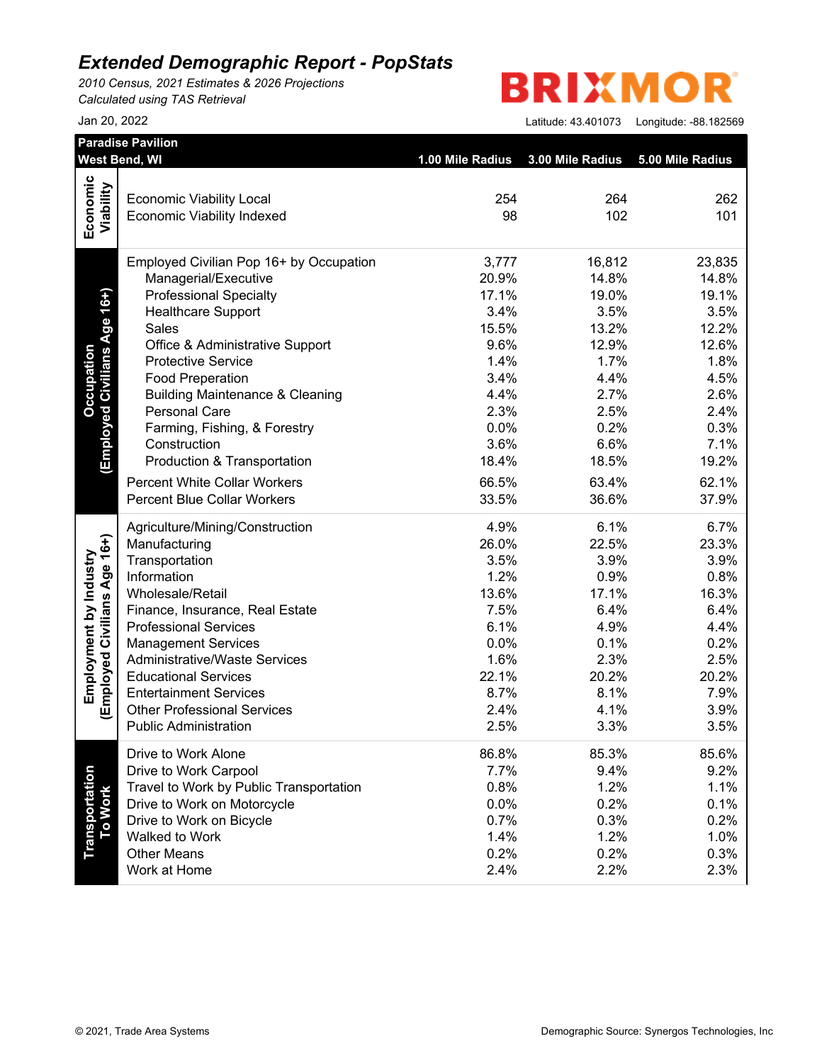*2010 Census, 2021 Estimates & 2026 Projections Calculated using TAS Retrieval*

#### **BRIXMO** R

|                              | West Bend, WI                                                        | 1.00 Mile Radius | 3.00 Mile Radius | 5.00 Mile Radius |
|------------------------------|----------------------------------------------------------------------|------------------|------------------|------------------|
| Economic                     |                                                                      |                  |                  |                  |
| Viability                    | <b>Economic Viability Local</b><br><b>Economic Viability Indexed</b> | 254<br>98        | 264<br>102       | 262<br>101       |
|                              |                                                                      |                  |                  |                  |
|                              | Employed Civilian Pop 16+ by Occupation                              | 3,777            | 16,812           | 23,835           |
|                              | Managerial/Executive                                                 | 20.9%            | 14.8%            | 14.8%            |
| (Employed Civilians Age 16+) | <b>Professional Specialty</b>                                        | 17.1%            | 19.0%            | 19.1%            |
|                              | <b>Healthcare Support</b>                                            | 3.4%             | 3.5%             | 3.5%             |
|                              | Sales                                                                | 15.5%            | 13.2%            | 12.2%            |
|                              | Office & Administrative Support                                      | 9.6%             | 12.9%            | 12.6%            |
|                              | <b>Protective Service</b>                                            | 1.4%             | 1.7%             | 1.8%             |
|                              | <b>Food Preperation</b>                                              | 3.4%             | 4.4%             | 4.5%             |
|                              | <b>Building Maintenance &amp; Cleaning</b>                           | 4.4%             | 2.7%             | 2.6%             |
|                              | <b>Personal Care</b>                                                 | 2.3%             | 2.5%             | 2.4%             |
|                              | Farming, Fishing, & Forestry                                         | 0.0%             | 0.2%             | 0.3%             |
|                              | Construction                                                         | 3.6%             | 6.6%             | 7.1%             |
|                              | Production & Transportation                                          | 18.4%            | 18.5%            | 19.2%            |
|                              | <b>Percent White Collar Workers</b>                                  | 66.5%            | 63.4%            | 62.1%            |
|                              | <b>Percent Blue Collar Workers</b>                                   | 33.5%            | 36.6%            | 37.9%            |
|                              | Agriculture/Mining/Construction                                      | 4.9%             | 6.1%             | 6.7%             |
|                              | Manufacturing                                                        | 26.0%            | 22.5%            | 23.3%            |
|                              | Transportation                                                       | 3.5%             | 3.9%             | 3.9%             |
|                              | Information                                                          | 1.2%             | 0.9%             | 0.8%             |
|                              | Wholesale/Retail                                                     | 13.6%            | 17.1%            | 16.3%            |
|                              | Finance, Insurance, Real Estate                                      | 7.5%             | 6.4%             | 6.4%             |
|                              | <b>Professional Services</b>                                         | 6.1%             | 4.9%             | 4.4%             |
|                              | <b>Management Services</b>                                           | 0.0%             | 0.1%             | 0.2%             |
| (Employed Civilians Age 16+) | <b>Administrative/Waste Services</b>                                 | 1.6%             | 2.3%             | 2.5%             |
|                              | <b>Educational Services</b>                                          | 22.1%            | 20.2%            | 20.2%            |
|                              | <b>Entertainment Services</b>                                        | 8.7%<br>2.4%     | 8.1%<br>4.1%     | 7.9%             |
|                              | <b>Other Professional Services</b><br><b>Public Administration</b>   | 2.5%             | 3.3%             | 3.9%<br>3.5%     |
|                              | Drive to Work Alone                                                  | 86.8%            | 85.3%            | 85.6%            |
|                              | Drive to Work Carpool                                                | 7.7%             | 9.4%             | 9.2%             |
|                              | Travel to Work by Public Transportation                              | 0.8%             | 1.2%             | 1.1%             |
| To Work                      | Drive to Work on Motorcycle                                          | 0.0%             | 0.2%             | 0.1%             |
|                              | Drive to Work on Bicycle                                             | 0.7%             | 0.3%             | 0.2%             |
|                              | Walked to Work                                                       | 1.4%             | 1.2%             | 1.0%             |
|                              | <b>Other Means</b>                                                   | 0.2%             | 0.2%             | 0.3%             |
|                              | Work at Home                                                         | 2.4%             | 2.2%             | 2.3%             |